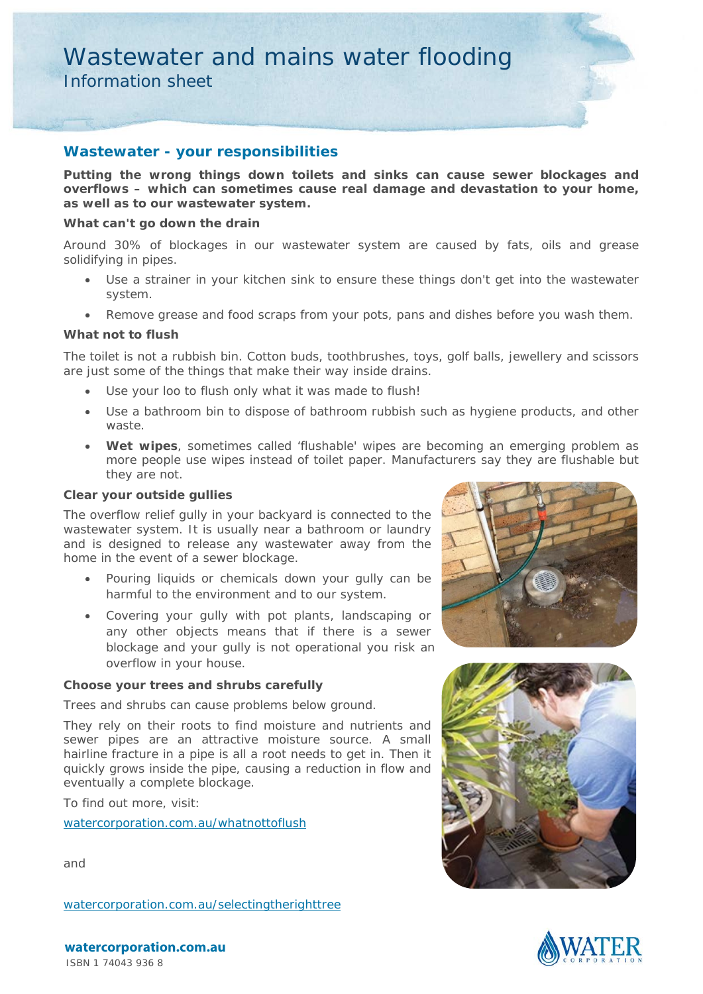Wastewater and mains water flooding

Information sheet

## **Wastewater - your responsibilities**

**Putting the wrong things down toilets and sinks can cause sewer blockages and overflows – which can sometimes cause real damage and devastation to your home, as well as to our wastewater system.**

## **What can't go down the drain**

Around 30% of blockages in our wastewater system are caused by fats, oils and grease solidifying in pipes.

- Use a strainer in your kitchen sink to ensure these things don't get into the wastewater system.
- Remove grease and food scraps from your pots, pans and dishes before you wash them.

#### **What not to flush**

The toilet is not a rubbish bin. Cotton buds, toothbrushes, toys, golf balls, jewellery and scissors are just some of the things that make their way inside drains.

- Use your loo to flush only what it was made to flush!
- Use a bathroom bin to dispose of bathroom rubbish such as hygiene products, and other waste.
- **Wet wipes**, sometimes called 'flushable' wipes are becoming an emerging problem as more people use wipes instead of toilet paper. Manufacturers say they are flushable but they are not.

#### **Clear your outside gullies**

The overflow relief gully in your backyard is connected to the wastewater system. It is usually near a bathroom or laundry and is designed to release any wastewater away from the home in the event of a sewer blockage.

- Pouring liquids or chemicals down your gully can be harmful to the environment and to our system.
- Covering your gully with pot plants, landscaping or any other objects means that if there is a sewer blockage and your gully is not operational you risk an overflow in your house.

#### **Choose your trees and shrubs carefully**

Trees and shrubs can cause problems below ground.

They rely on their roots to find moisture and nutrients and sewer pipes are an attractive moisture source. A small hairline fracture in a pipe is all a root needs to get in. Then it quickly grows inside the pipe, causing a reduction in flow and eventually a complete blockage.

To find out more, visit:

[watercorporation.com.au/whatnottoflush](http://watercorporation.com.au/whatnottoflush)







and

[watercorporation.com.au/selectingtherighttree](http://watercorporation.com.au/selectingtherighttree)